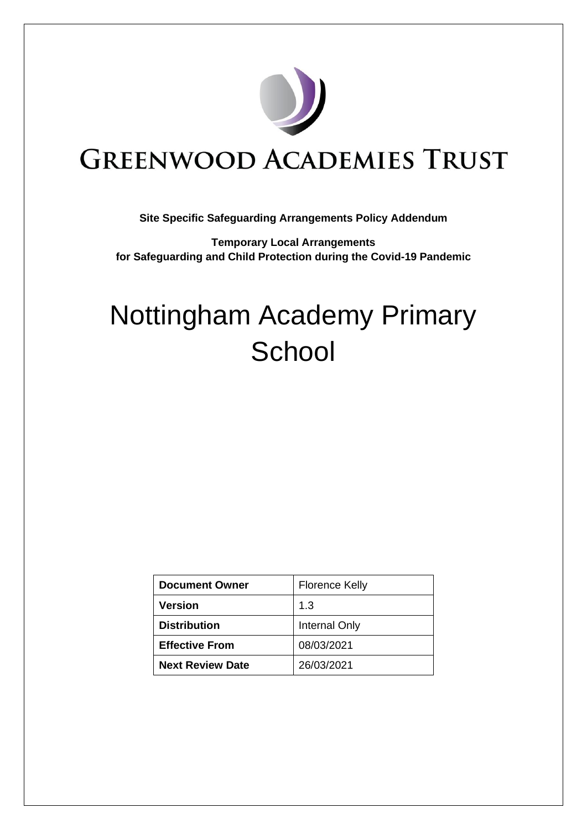

# **GREENWOOD ACADEMIES TRUST**

# **Site Specific Safeguarding Arrangements Policy Addendum**

**Temporary Local Arrangements for Safeguarding and Child Protection during the Covid-19 Pandemic**

# Nottingham Academy Primary **School**

| <b>Document Owner</b>   | <b>Florence Kelly</b> |
|-------------------------|-----------------------|
| <b>Version</b>          | 1.3                   |
| <b>Distribution</b>     | Internal Only         |
| <b>Effective From</b>   | 08/03/2021            |
| <b>Next Review Date</b> | 26/03/2021            |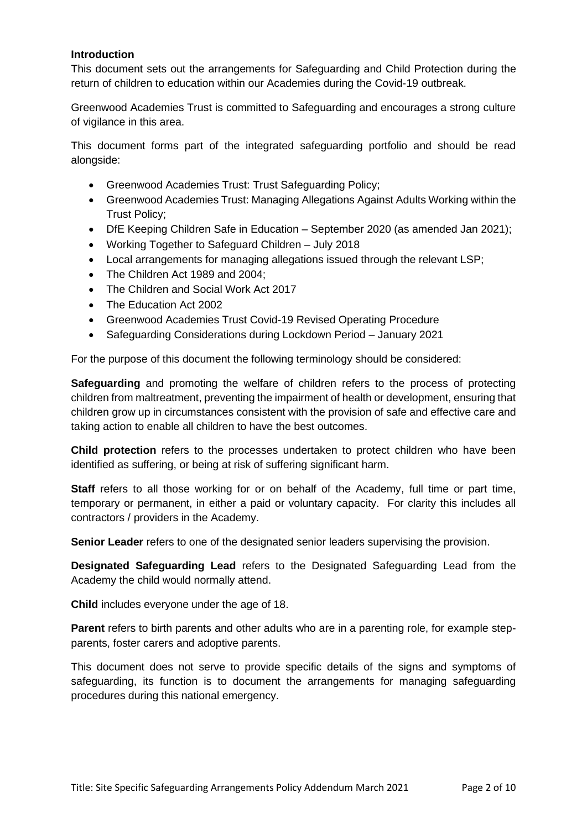# **Introduction**

This document sets out the arrangements for Safeguarding and Child Protection during the return of children to education within our Academies during the Covid-19 outbreak.

Greenwood Academies Trust is committed to Safeguarding and encourages a strong culture of vigilance in this area.

This document forms part of the integrated safeguarding portfolio and should be read alongside:

- Greenwood Academies Trust: Trust Safeguarding Policy;
- Greenwood Academies Trust: Managing Allegations Against Adults Working within the Trust Policy;
- DfE Keeping Children Safe in Education September 2020 (as amended Jan 2021);
- Working Together to Safeguard Children July 2018
- Local arrangements for managing allegations issued through the relevant LSP;
- The Children Act 1989 and 2004;
- The Children and Social Work Act 2017
- The Education Act 2002
- Greenwood Academies Trust Covid-19 Revised Operating Procedure
- Safeguarding Considerations during Lockdown Period January 2021

For the purpose of this document the following terminology should be considered:

**Safeguarding** and promoting the welfare of children refers to the process of protecting children from maltreatment, preventing the impairment of health or development, ensuring that children grow up in circumstances consistent with the provision of safe and effective care and taking action to enable all children to have the best outcomes.

**Child protection** refers to the processes undertaken to protect children who have been identified as suffering, or being at risk of suffering significant harm.

**Staff** refers to all those working for or on behalf of the Academy, full time or part time, temporary or permanent, in either a paid or voluntary capacity. For clarity this includes all contractors / providers in the Academy.

**Senior Leader** refers to one of the designated senior leaders supervising the provision.

**Designated Safeguarding Lead** refers to the Designated Safeguarding Lead from the Academy the child would normally attend.

**Child** includes everyone under the age of 18.

**Parent** refers to birth parents and other adults who are in a parenting role, for example stepparents, foster carers and adoptive parents.

This document does not serve to provide specific details of the signs and symptoms of safeguarding, its function is to document the arrangements for managing safeguarding procedures during this national emergency.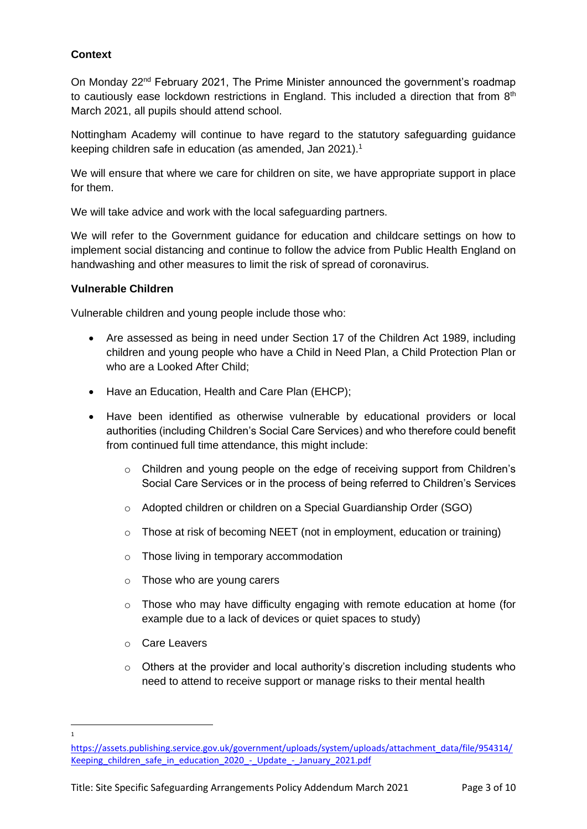# **Context**

On Monday 22nd February 2021, The Prime Minister announced the government's roadmap to cautiously ease lockdown restrictions in England. This included a direction that from  $8<sup>th</sup>$ March 2021, all pupils should attend school.

Nottingham Academy will continue to have regard to the statutory safeguarding guidance keeping children safe in education (as amended, Jan 2021).<sup>1</sup>

We will ensure that where we care for children on site, we have appropriate support in place for them.

We will take advice and work with the local safeguarding partners.

We will refer to the Government guidance for education and childcare settings on how to implement social distancing and continue to follow the advice from Public Health England on handwashing and other measures to limit the risk of spread of coronavirus.

## **Vulnerable Children**

Vulnerable children and young people include those who:

- Are assessed as being in need under Section 17 of the Children Act 1989, including children and young people who have a Child in Need Plan, a Child Protection Plan or who are a Looked After Child;
- Have an Education, Health and Care Plan (EHCP);
- Have been identified as otherwise vulnerable by educational providers or local authorities (including Children's Social Care Services) and who therefore could benefit from continued full time attendance, this might include:
	- $\circ$  Children and young people on the edge of receiving support from Children's Social Care Services or in the process of being referred to Children's Services
	- o Adopted children or children on a Special Guardianship Order (SGO)
	- o Those at risk of becoming NEET (not in employment, education or training)
	- o Those living in temporary accommodation
	- o Those who are young carers
	- $\circ$  Those who may have difficulty engaging with remote education at home (for example due to a lack of devices or quiet spaces to study)
	- o Care Leavers

1

 $\circ$  Others at the provider and local authority's discretion including students who need to attend to receive support or manage risks to their mental health

[https://assets.publishing.service.gov.uk/government/uploads/system/uploads/attachment\\_data/file/954314/](https://assets.publishing.service.gov.uk/government/uploads/system/uploads/attachment_data/file/954314/Keeping_children_safe_in_education_2020_-_Update_-_January_2021.pdf) Keeping children\_safe\_in\_education\_2020\_-\_Update\_-\_January\_2021.pdf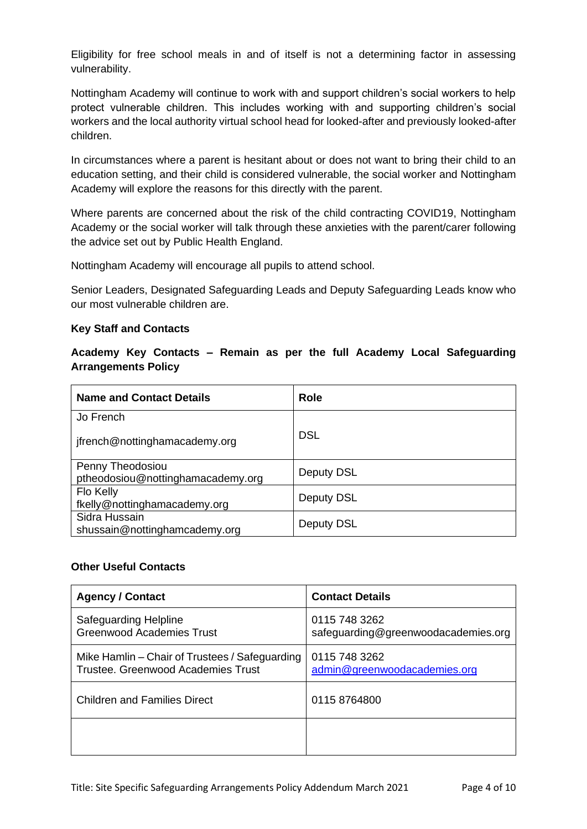Eligibility for free school meals in and of itself is not a determining factor in assessing vulnerability.

Nottingham Academy will continue to work with and support children's social workers to help protect vulnerable children. This includes working with and supporting children's social workers and the local authority virtual school head for looked-after and previously looked-after children.

In circumstances where a parent is hesitant about or does not want to bring their child to an education setting, and their child is considered vulnerable, the social worker and Nottingham Academy will explore the reasons for this directly with the parent.

Where parents are concerned about the risk of the child contracting COVID19, Nottingham Academy or the social worker will talk through these anxieties with the parent/carer following the advice set out by Public Health England.

Nottingham Academy will encourage all pupils to attend school.

Senior Leaders, Designated Safeguarding Leads and Deputy Safeguarding Leads know who our most vulnerable children are.

## **Key Staff and Contacts**

**Academy Key Contacts – Remain as per the full Academy Local Safeguarding Arrangements Policy**

| <b>Name and Contact Details</b>                       | Role       |
|-------------------------------------------------------|------------|
| Jo French                                             |            |
| jfrench@nottinghamacademy.org                         | <b>DSL</b> |
| Penny Theodosiou<br>ptheodosiou@nottinghamacademy.org | Deputy DSL |
| Flo Kelly<br>fkelly@nottinghamacademy.org             | Deputy DSL |
| Sidra Hussain<br>shussain@nottinghamcademy.org        | Deputy DSL |

### **Other Useful Contacts**

| <b>Agency / Contact</b>                                                              | <b>Contact Details</b>                               |
|--------------------------------------------------------------------------------------|------------------------------------------------------|
| Safeguarding Helpline<br><b>Greenwood Academies Trust</b>                            | 0115 748 3262<br>safeguarding@greenwoodacademies.org |
| Mike Hamlin – Chair of Trustees / Safeguarding<br>Trustee. Greenwood Academies Trust | 0115 748 3262<br>admin@greenwoodacademies.org        |
| <b>Children and Families Direct</b>                                                  | 0115 8764800                                         |
|                                                                                      |                                                      |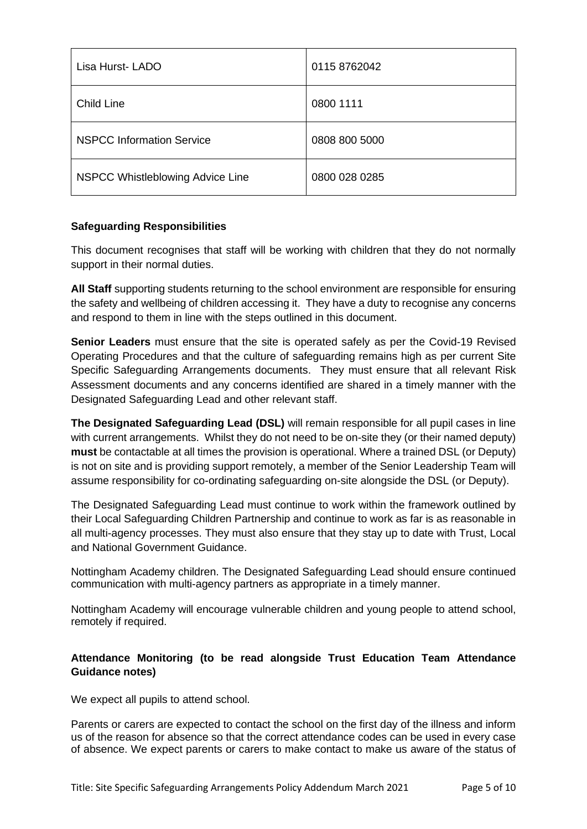| Lisa Hurst-LADO                  | 0115 8762042  |
|----------------------------------|---------------|
| Child Line                       | 0800 1111     |
| <b>NSPCC Information Service</b> | 0808 800 5000 |
| NSPCC Whistleblowing Advice Line | 0800 028 0285 |

# **Safeguarding Responsibilities**

This document recognises that staff will be working with children that they do not normally support in their normal duties.

**All Staff** supporting students returning to the school environment are responsible for ensuring the safety and wellbeing of children accessing it. They have a duty to recognise any concerns and respond to them in line with the steps outlined in this document.

**Senior Leaders** must ensure that the site is operated safely as per the Covid-19 Revised Operating Procedures and that the culture of safeguarding remains high as per current Site Specific Safeguarding Arrangements documents. They must ensure that all relevant Risk Assessment documents and any concerns identified are shared in a timely manner with the Designated Safeguarding Lead and other relevant staff.

**The Designated Safeguarding Lead (DSL)** will remain responsible for all pupil cases in line with current arrangements. Whilst they do not need to be on-site they (or their named deputy) **must** be contactable at all times the provision is operational. Where a trained DSL (or Deputy) is not on site and is providing support remotely, a member of the Senior Leadership Team will assume responsibility for co-ordinating safeguarding on-site alongside the DSL (or Deputy).

The Designated Safeguarding Lead must continue to work within the framework outlined by their Local Safeguarding Children Partnership and continue to work as far is as reasonable in all multi-agency processes. They must also ensure that they stay up to date with Trust, Local and National Government Guidance.

Nottingham Academy children. The Designated Safeguarding Lead should ensure continued communication with multi-agency partners as appropriate in a timely manner.

Nottingham Academy will encourage vulnerable children and young people to attend school, remotely if required.

# **Attendance Monitoring (to be read alongside Trust Education Team Attendance Guidance notes)**

We expect all pupils to attend school.

Parents or carers are expected to contact the school on the first day of the illness and inform us of the reason for absence so that the correct attendance codes can be used in every case of absence. We expect parents or carers to make contact to make us aware of the status of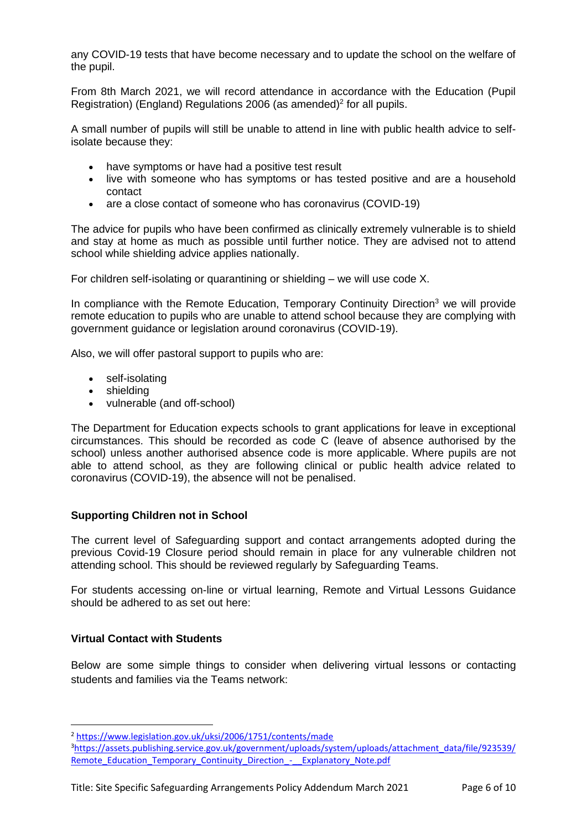any COVID-19 tests that have become necessary and to update the school on the welfare of the pupil.

From 8th March 2021, we will record attendance in accordance with the Education (Pupil Registration) (England) Regulations 2006 (as amended)<sup>2</sup> for all pupils.

A small number of pupils will still be unable to attend in line with public health advice to selfisolate because they:

- have symptoms or have had a positive test result
- live with someone who has symptoms or has tested positive and are a household contact
- are a close contact of someone who has coronavirus (COVID-19)

The advice for pupils who have been confirmed as clinically extremely vulnerable is to shield and stay at home as much as possible until further notice. They are advised not to attend school while shielding advice applies nationally.

For children self-isolating or quarantining or shielding – we will use code X.

In compliance with the Remote Education, Temporary Continuity Direction<sup>3</sup> we will provide remote education to pupils who are unable to attend school because they are complying with government guidance or legislation around coronavirus (COVID-19).

Also, we will offer pastoral support to pupils who are:

- self-isolating
- shielding
- vulnerable (and off-school)

The Department for Education expects schools to grant applications for leave in exceptional circumstances. This should be recorded as code C (leave of absence authorised by the school) unless another authorised absence code is more applicable. Where pupils are not able to attend school, as they are following clinical or public health advice related to coronavirus (COVID-19), the absence will not be penalised.

# **Supporting Children not in School**

The current level of Safeguarding support and contact arrangements adopted during the previous Covid-19 Closure period should remain in place for any vulnerable children not attending school. This should be reviewed regularly by Safeguarding Teams.

For students accessing on-line or virtual learning, Remote and Virtual Lessons Guidance should be adhered to as set out here:

# **Virtual Contact with Students**

Below are some simple things to consider when delivering virtual lessons or contacting students and families via the Teams network:

<sup>2</sup> <https://www.legislation.gov.uk/uksi/2006/1751/contents/made>

<sup>3</sup>[https://assets.publishing.service.gov.uk/government/uploads/system/uploads/attachment\\_data/file/923539/](https://assets.publishing.service.gov.uk/government/uploads/system/uploads/attachment_data/file/923539/Remote_Education_Temporary_Continuity_Direction_-__Explanatory_Note.pdf) [Remote\\_Education\\_Temporary\\_Continuity\\_Direction\\_-\\_\\_Explanatory\\_Note.pdf](https://assets.publishing.service.gov.uk/government/uploads/system/uploads/attachment_data/file/923539/Remote_Education_Temporary_Continuity_Direction_-__Explanatory_Note.pdf)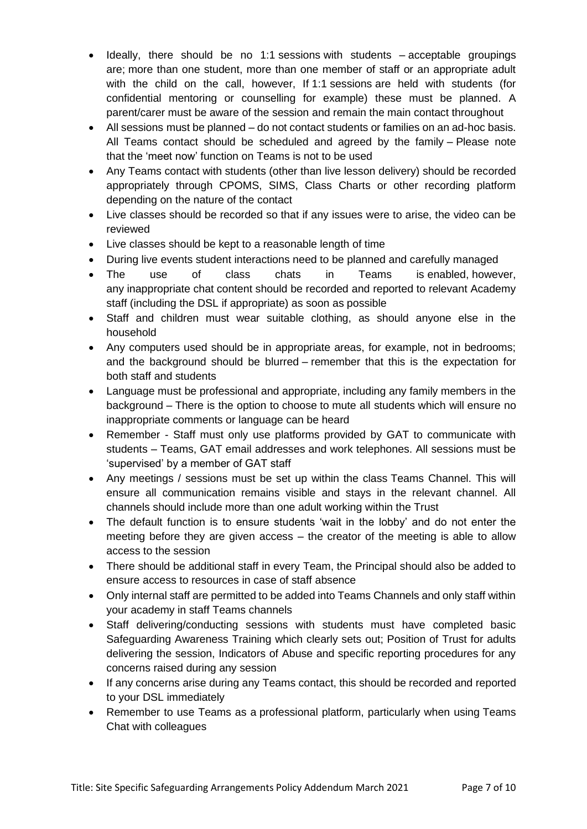- Ideally, there should be no 1:1 sessions with students acceptable groupings are; more than one student, more than one member of staff or an appropriate adult with the child on the call, however, If 1:1 sessions are held with students (for confidential mentoring or counselling for example) these must be planned. A parent/carer must be aware of the session and remain the main contact throughout
- All sessions must be planned do not contact students or families on an ad-hoc basis. All Teams contact should be scheduled and agreed by the family – Please note that the 'meet now' function on Teams is not to be used
- Any Teams contact with students (other than live lesson delivery) should be recorded appropriately through CPOMS, SIMS, Class Charts or other recording platform depending on the nature of the contact
- Live classes should be recorded so that if any issues were to arise, the video can be reviewed
- Live classes should be kept to a reasonable length of time
- During live events student interactions need to be planned and carefully managed
- The use of class chats in Teams is enabled, however, any inappropriate chat content should be recorded and reported to relevant Academy staff (including the DSL if appropriate) as soon as possible
- Staff and children must wear suitable clothing, as should anyone else in the household
- Any computers used should be in appropriate areas, for example, not in bedrooms; and the background should be blurred – remember that this is the expectation for both staff and students
- Language must be professional and appropriate, including any family members in the background – There is the option to choose to mute all students which will ensure no inappropriate comments or language can be heard
- Remember Staff must only use platforms provided by GAT to communicate with students – Teams, GAT email addresses and work telephones. All sessions must be 'supervised' by a member of GAT staff
- Any meetings / sessions must be set up within the class Teams Channel. This will ensure all communication remains visible and stays in the relevant channel. All channels should include more than one adult working within the Trust
- The default function is to ensure students 'wait in the lobby' and do not enter the meeting before they are given access – the creator of the meeting is able to allow access to the session
- There should be additional staff in every Team, the Principal should also be added to ensure access to resources in case of staff absence
- Only internal staff are permitted to be added into Teams Channels and only staff within your academy in staff Teams channels
- Staff delivering/conducting sessions with students must have completed basic Safeguarding Awareness Training which clearly sets out; Position of Trust for adults delivering the session, Indicators of Abuse and specific reporting procedures for any concerns raised during any session
- If any concerns arise during any Teams contact, this should be recorded and reported to your DSL immediately
- Remember to use Teams as a professional platform, particularly when using Teams Chat with colleagues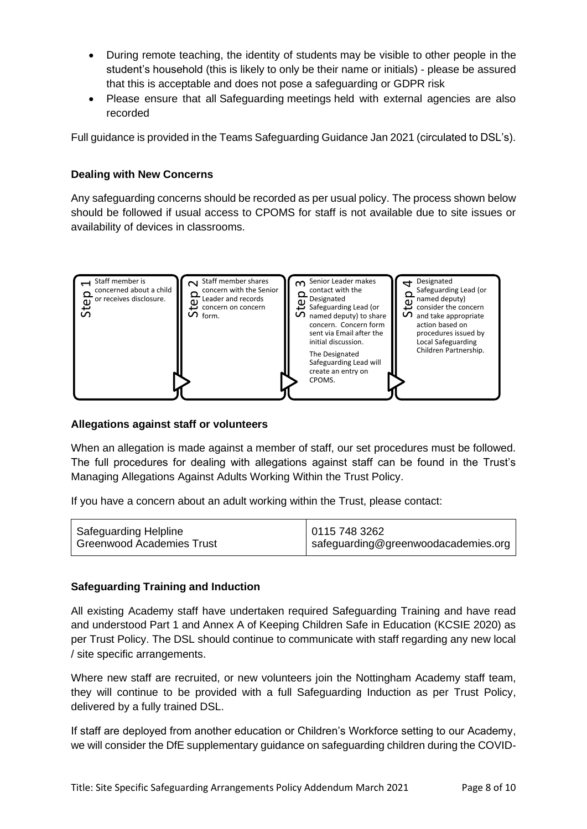- During remote teaching, the identity of students may be visible to other people in the student's household (this is likely to only be their name or initials) - please be assured that this is acceptable and does not pose a safeguarding or GDPR risk
- Please ensure that all Safeguarding meetings held with external agencies are also recorded

Full guidance is provided in the Teams Safeguarding Guidance Jan 2021 (circulated to DSL's).

# **Dealing with New Concerns**

Any safeguarding concerns should be recorded as per usual policy. The process shown below should be followed if usual access to CPOMS for staff is not available due to site issues or availability of devices in classrooms.



# **Allegations against staff or volunteers**

When an allegation is made against a member of staff, our set procedures must be followed. The full procedures for dealing with allegations against staff can be found in the Trust's Managing Allegations Against Adults Working Within the Trust Policy.

If you have a concern about an adult working within the Trust, please contact:

| Safeguarding Helpline     | 01157483262                         |
|---------------------------|-------------------------------------|
| Greenwood Academies Trust | safeguarding@greenwoodacademies.org |

# **Safeguarding Training and Induction**

All existing Academy staff have undertaken required Safeguarding Training and have read and understood Part 1 and Annex A of Keeping Children Safe in Education (KCSIE 2020) as per Trust Policy. The DSL should continue to communicate with staff regarding any new local / site specific arrangements.

Where new staff are recruited, or new volunteers join the Nottingham Academy staff team, they will continue to be provided with a full Safeguarding Induction as per Trust Policy, delivered by a fully trained DSL.

If staff are deployed from another education or Children's Workforce setting to our Academy,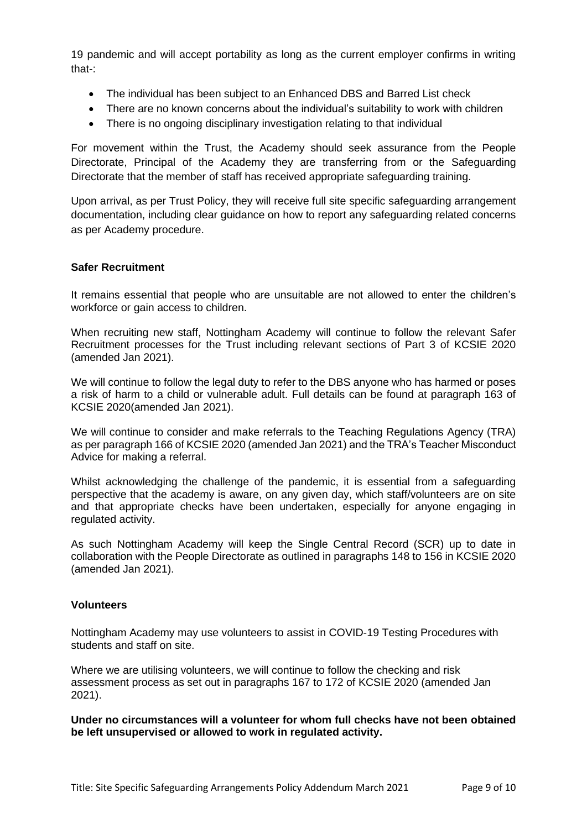19 pandemic and will accept portability as long as the current employer confirms in writing that-:

- The individual has been subject to an Enhanced DBS and Barred List check
- There are no known concerns about the individual's suitability to work with children
- There is no ongoing disciplinary investigation relating to that individual

For movement within the Trust, the Academy should seek assurance from the People Directorate, Principal of the Academy they are transferring from or the Safeguarding Directorate that the member of staff has received appropriate safeguarding training.

Upon arrival, as per Trust Policy, they will receive full site specific safeguarding arrangement documentation, including clear guidance on how to report any safeguarding related concerns as per Academy procedure.

## **Safer Recruitment**

It remains essential that people who are unsuitable are not allowed to enter the children's workforce or gain access to children.

When recruiting new staff, Nottingham Academy will continue to follow the relevant Safer Recruitment processes for the Trust including relevant sections of Part 3 of KCSIE 2020 (amended Jan 2021).

We will continue to follow the legal duty to refer to the DBS anyone who has harmed or poses a risk of harm to a child or vulnerable adult. Full details can be found at paragraph 163 of KCSIE 2020(amended Jan 2021).

We will continue to consider and make referrals to the Teaching Regulations Agency (TRA) as per paragraph 166 of KCSIE 2020 (amended Jan 2021) and the TRA's Teacher Misconduct Advice for making a referral.

Whilst acknowledging the challenge of the pandemic, it is essential from a safeguarding perspective that the academy is aware, on any given day, which staff/volunteers are on site and that appropriate checks have been undertaken, especially for anyone engaging in regulated activity.

As such Nottingham Academy will keep the Single Central Record (SCR) up to date in collaboration with the People Directorate as outlined in paragraphs 148 to 156 in KCSIE 2020 (amended Jan 2021).

#### **Volunteers**

Nottingham Academy may use volunteers to assist in COVID-19 Testing Procedures with students and staff on site.

Where we are utilising volunteers, we will continue to follow the checking and risk assessment process as set out in paragraphs 167 to 172 of KCSIE 2020 (amended Jan 2021).

**Under no circumstances will a volunteer for whom full checks have not been obtained be left unsupervised or allowed to work in regulated activity.**